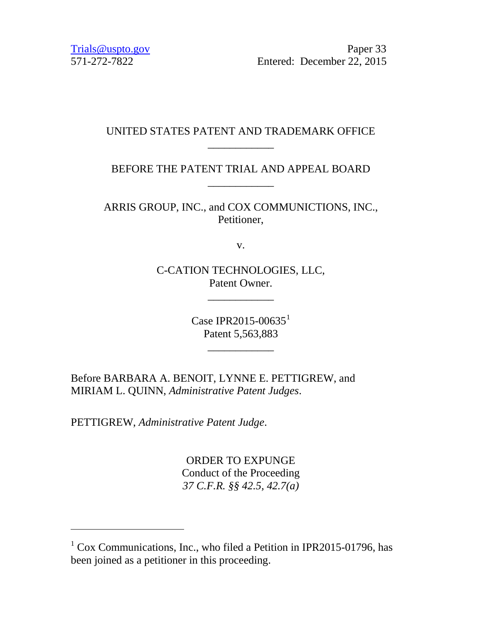[Trials@uspto.gov](mailto:Trials@uspto.gov) Paper 33 571-272-7822 Entered: December 22, 2015

# UNITED STATES PATENT AND TRADEMARK OFFICE \_\_\_\_\_\_\_\_\_\_\_\_

# BEFORE THE PATENT TRIAL AND APPEAL BOARD \_\_\_\_\_\_\_\_\_\_\_\_

ARRIS GROUP, INC., and COX COMMUNICTIONS, INC., Petitioner,

v.

C-CATION TECHNOLOGIES, LLC, Patent Owner.

\_\_\_\_\_\_\_\_\_\_\_\_

Case IPR20[1](#page-0-0)5-00635 $^1$ Patent 5,563,883

\_\_\_\_\_\_\_\_\_\_\_\_

Before BARBARA A. BENOIT, LYNNE E. PETTIGREW, and MIRIAM L. QUINN, *Administrative Patent Judges*.

PETTIGREW, *Administrative Patent Judge*.

 $\overline{a}$ 

ORDER TO EXPUNGE Conduct of the Proceeding *37 C.F.R. §§ 42.5, 42.7(a)*

<span id="page-0-0"></span> $1$  Cox Communications, Inc., who filed a Petition in IPR2015-01796, has been joined as a petitioner in this proceeding.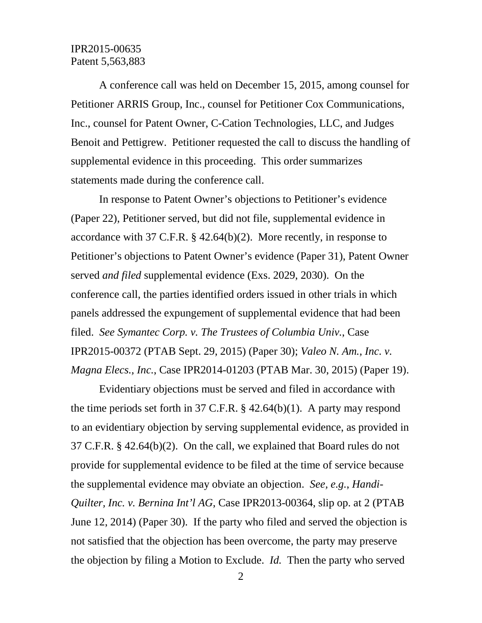## IPR2015-00635 Patent 5,563,883

A conference call was held on December 15, 2015, among counsel for Petitioner ARRIS Group, Inc., counsel for Petitioner Cox Communications, Inc., counsel for Patent Owner, C-Cation Technologies, LLC, and Judges Benoit and Pettigrew. Petitioner requested the call to discuss the handling of supplemental evidence in this proceeding. This order summarizes statements made during the conference call.

In response to Patent Owner's objections to Petitioner's evidence (Paper 22), Petitioner served, but did not file, supplemental evidence in accordance with 37 C.F.R. § 42.64(b)(2). More recently, in response to Petitioner's objections to Patent Owner's evidence (Paper 31), Patent Owner served *and filed* supplemental evidence (Exs. 2029, 2030). On the conference call, the parties identified orders issued in other trials in which panels addressed the expungement of supplemental evidence that had been filed. *See Symantec Corp. v. The Trustees of Columbia Univ.*, Case IPR2015-00372 (PTAB Sept. 29, 2015) (Paper 30); *Valeo N. Am., Inc. v. Magna Elecs., Inc.*, Case IPR2014-01203 (PTAB Mar. 30, 2015) (Paper 19).

Evidentiary objections must be served and filed in accordance with the time periods set forth in 37 C.F.R.  $\S$  42.64(b)(1). A party may respond to an evidentiary objection by serving supplemental evidence, as provided in 37 C.F.R. § 42.64(b)(2). On the call, we explained that Board rules do not provide for supplemental evidence to be filed at the time of service because the supplemental evidence may obviate an objection. *See, e.g.*, *Handi-Quilter, Inc. v. Bernina Int'l AG, Case IPR2013-00364, slip op. at 2 (PTAB)* June 12, 2014) (Paper 30). If the party who filed and served the objection is not satisfied that the objection has been overcome, the party may preserve the objection by filing a Motion to Exclude. *Id.* Then the party who served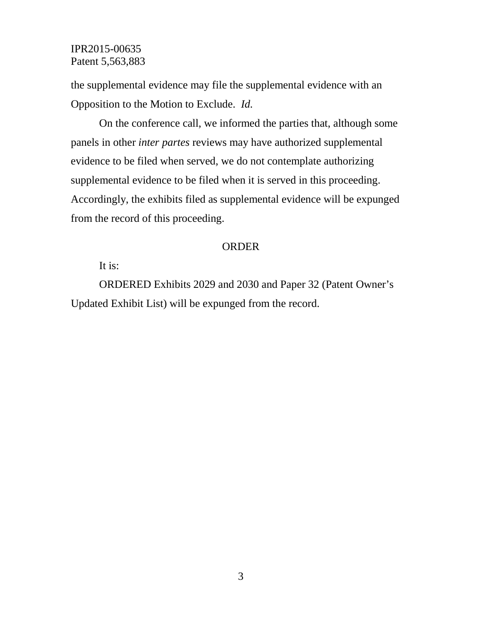### IPR2015-00635 Patent 5,563,883

the supplemental evidence may file the supplemental evidence with an Opposition to the Motion to Exclude. *Id.*

On the conference call, we informed the parties that, although some panels in other *inter partes* reviews may have authorized supplemental evidence to be filed when served, we do not contemplate authorizing supplemental evidence to be filed when it is served in this proceeding. Accordingly, the exhibits filed as supplemental evidence will be expunged from the record of this proceeding.

#### ORDER

# It is:

ORDERED Exhibits 2029 and 2030 and Paper 32 (Patent Owner's Updated Exhibit List) will be expunged from the record.